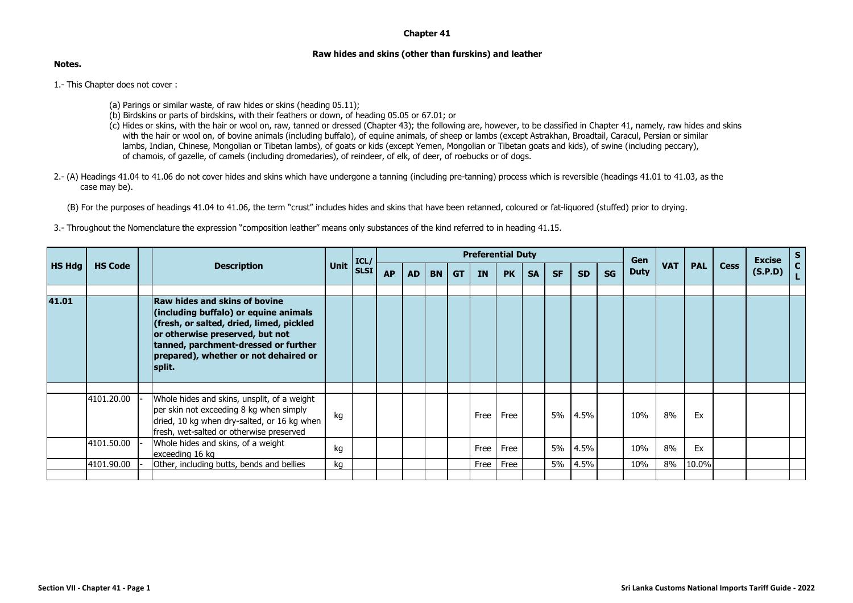## **Chapter 41**

## **Raw hides and skins (other than furskins) and leather**

**Notes.**

1.- This Chapter does not cover :

- (a) Parings or similar waste, of raw hides or skins (heading 05.11);
- (b) Birdskins or parts of birdskins, with their feathers or down, of heading 05.05 or 67.01; or
- (c) Hides or skins, with the hair or wool on, raw, tanned or dressed (Chapter 43); the following are, however, to be classified in Chapter 41, namely, raw hides and skins with the hair or wool on, of bovine animals (including buffalo), of equine animals, of sheep or lambs (except Astrakhan, Broadtail, Caracul, Persian or similar lambs, Indian, Chinese, Mongolian or Tibetan lambs), of goats or kids (except Yemen, Mongolian or Tibetan goats and kids), of swine (including peccary), of chamois, of gazelle, of camels (including dromedaries), of reindeer, of elk, of deer, of roebucks or of dogs.
- 2.- (A) Headings 41.04 to 41.06 do not cover hides and skins which have undergone a tanning (including pre-tanning) process which is reversible (headings 41.01 to 41.03, as the case may be).

(B) For the purposes of headings 41.04 to 41.06, the term "crust" includes hides and skins that have been retanned, coloured or fat-liquored (stuffed) prior to drying.

3.- Throughout the Nomenclature the expression "composition leather" means only substances of the kind referred to in heading 41.15.

|               | <b>HS Code</b> |  | <b>Description</b>                                                                                                                                                                                                                                      |      | ICL/        | <b>Preferential Duty</b> |           |           |           |           |           |           |           |           |           | Gen         |            |            |             | <b>Excise</b> | S            |
|---------------|----------------|--|---------------------------------------------------------------------------------------------------------------------------------------------------------------------------------------------------------------------------------------------------------|------|-------------|--------------------------|-----------|-----------|-----------|-----------|-----------|-----------|-----------|-----------|-----------|-------------|------------|------------|-------------|---------------|--------------|
| <b>HS Hdg</b> |                |  |                                                                                                                                                                                                                                                         | Unit | <b>SLSI</b> | <b>AP</b>                | <b>AD</b> | <b>BN</b> | <b>GT</b> | <b>IN</b> | <b>PK</b> | <b>SA</b> | <b>SF</b> | <b>SD</b> | <b>SG</b> | <b>Duty</b> | <b>VAT</b> | <b>PAL</b> | <b>Cess</b> | (S.P.D)       | $\mathbf{c}$ |
| 41.01         |                |  | <b>Raw hides and skins of bovine</b><br>(including buffalo) or equine animals<br>(fresh, or salted, dried, limed, pickled<br>or otherwise preserved, but not<br>tanned, parchment-dressed or further<br>prepared), whether or not dehaired or<br>split. |      |             |                          |           |           |           |           |           |           |           |           |           |             |            |            |             |               |              |
|               |                |  |                                                                                                                                                                                                                                                         |      |             |                          |           |           |           |           |           |           |           |           |           |             |            |            |             |               |              |
|               | 4101.20.00     |  | Whole hides and skins, unsplit, of a weight<br>per skin not exceeding 8 kg when simply<br>dried, 10 kg when dry-salted, or 16 kg when<br>fresh, wet-salted or otherwise preserved                                                                       | kg   |             |                          |           |           |           | Free      | Free      |           | 5%        | 4.5%      |           | 10%         | 8%         | Ex         |             |               |              |
|               | 4101.50.00     |  | Whole hides and skins, of a weight<br>exceeding 16 kg                                                                                                                                                                                                   | kg   |             |                          |           |           |           | Free      | Free      |           | 5%        | 4.5%      |           | 10%         | 8%         | Ex         |             |               |              |
|               | 4101.90.00     |  | Other, including butts, bends and bellies                                                                                                                                                                                                               | kg   |             |                          |           |           |           | Free      | Free      |           | 5%        | 4.5%      |           | 10%         | 8%         | 10.0%      |             |               |              |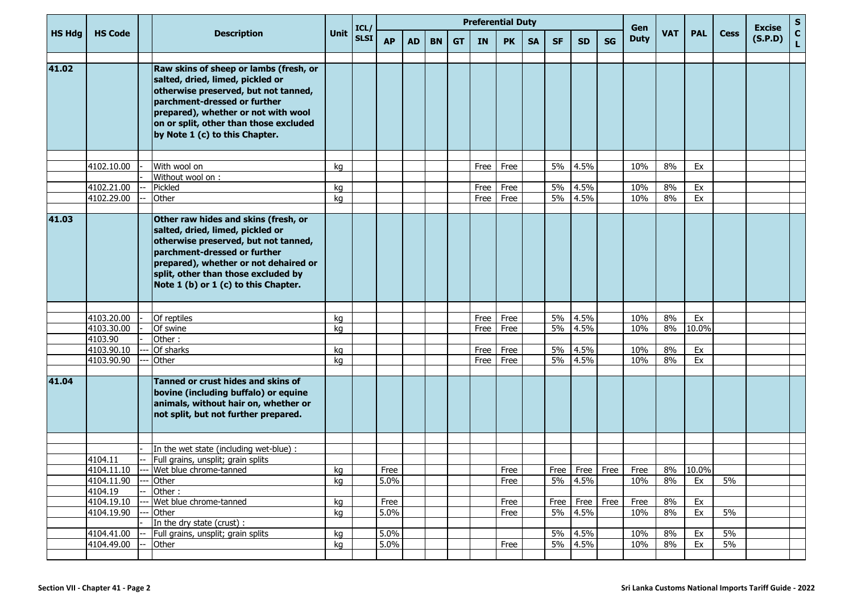|               |                       |                                                                                                                                                                                                                                                                          |          | ICL/        | <b>Preferential Duty</b> |           |           |           |           |              |           |           |              |           | Gen                       |            |            |             | <b>Excise</b> | $\sf s$                     |
|---------------|-----------------------|--------------------------------------------------------------------------------------------------------------------------------------------------------------------------------------------------------------------------------------------------------------------------|----------|-------------|--------------------------|-----------|-----------|-----------|-----------|--------------|-----------|-----------|--------------|-----------|---------------------------|------------|------------|-------------|---------------|-----------------------------|
| <b>HS Hdg</b> | <b>HS Code</b>        | <b>Description</b>                                                                                                                                                                                                                                                       | Unit     | <b>SLSI</b> | <b>AP</b>                | <b>AD</b> | <b>BN</b> | <b>GT</b> | <b>IN</b> | <b>PK</b>    | <b>SA</b> | <b>SF</b> | <b>SD</b>    | <b>SG</b> | <b>Duty</b>               | <b>VAT</b> | <b>PAL</b> | <b>Cess</b> | (S.P.D)       | $\mathbf{C}$<br>$\mathbf L$ |
| 41.02         |                       | Raw skins of sheep or lambs (fresh, or<br>salted, dried, limed, pickled or<br>otherwise preserved, but not tanned,<br>parchment-dressed or further<br>prepared), whether or not with wool<br>on or split, other than those excluded<br>by Note 1 (c) to this Chapter.    |          |             |                          |           |           |           |           |              |           |           |              |           |                           |            |            |             |               |                             |
|               | 4102.10.00            | With wool on                                                                                                                                                                                                                                                             | ka       |             |                          |           |           |           | Free      | Free         |           | 5%        | 4.5%         |           | 10%                       | 8%         | Ex         |             |               |                             |
|               |                       | Without wool on:                                                                                                                                                                                                                                                         |          |             |                          |           |           |           |           |              |           |           |              |           |                           |            |            |             |               |                             |
|               | 4102.21.00            | Pickled                                                                                                                                                                                                                                                                  | kg       |             |                          |           |           |           | Free      | Free         |           | 5%        | 4.5%         |           | 10%                       | 8%         | Ex         |             |               |                             |
|               | 4102.29.00            | Other                                                                                                                                                                                                                                                                    | kg       |             |                          |           |           |           | Free      | Free         |           | 5%        | 4.5%         |           | 10%                       | 8%         | Ex         |             |               |                             |
|               |                       |                                                                                                                                                                                                                                                                          |          |             |                          |           |           |           |           |              |           |           |              |           |                           |            |            |             |               |                             |
| 41.03         |                       | Other raw hides and skins (fresh, or<br>salted, dried, limed, pickled or<br>otherwise preserved, but not tanned,<br>parchment-dressed or further<br>prepared), whether or not dehaired or<br>split, other than those excluded by<br>Note 1 (b) or 1 (c) to this Chapter. |          |             |                          |           |           |           |           |              |           |           |              |           |                           |            |            |             |               |                             |
|               |                       |                                                                                                                                                                                                                                                                          |          |             |                          |           |           |           |           |              |           |           |              |           |                           |            |            |             |               |                             |
|               | 4103.20.00            | Of reptiles                                                                                                                                                                                                                                                              | kg       |             |                          |           |           |           | Free      | Free         |           | 5%        | 4.5%         |           | 10%                       | 8%         | Ex         |             |               |                             |
|               | $\sqrt{4103.30.00}$   | Of swine                                                                                                                                                                                                                                                                 | kg       |             |                          |           |           |           | Free      | Free         |           | 5%        | 4.5%         |           | 10%                       | 8%         | 10.0%      |             |               |                             |
|               | 4103.90<br>4103.90.10 | Other:                                                                                                                                                                                                                                                                   |          |             |                          |           |           |           |           |              |           |           |              |           |                           |            |            |             |               |                             |
|               | 4103.90.90            | Of sharks<br>Other                                                                                                                                                                                                                                                       | kg<br>kg |             |                          |           |           |           | Free      | Free<br>Free |           | 5%<br>5%  | 4.5%<br>4.5% |           | 10%<br>10%                | 8%<br>8%   | Ex<br>Ex   |             |               |                             |
|               |                       |                                                                                                                                                                                                                                                                          |          |             |                          |           |           |           | Free      |              |           |           |              |           |                           |            |            |             |               |                             |
| 41.04         |                       | Tanned or crust hides and skins of<br>bovine (including buffalo) or equine<br>animals, without hair on, whether or<br>not split, but not further prepared.                                                                                                               |          |             |                          |           |           |           |           |              |           |           |              |           |                           |            |            |             |               |                             |
|               |                       |                                                                                                                                                                                                                                                                          |          |             |                          |           |           |           |           |              |           |           |              |           |                           |            |            |             |               |                             |
|               |                       | In the wet state (including wet-blue) :                                                                                                                                                                                                                                  |          |             |                          |           |           |           |           |              |           |           |              |           |                           |            |            |             |               |                             |
|               | 4104.11               | Full grains, unsplit; grain splits<br>Wet blue chrome-tanned                                                                                                                                                                                                             |          |             |                          |           |           |           |           |              |           |           |              |           |                           |            | 8% 10.0%   |             |               |                             |
|               | 4104.11.10            |                                                                                                                                                                                                                                                                          | kg       |             | Free<br>5.0%             |           |           |           |           | Free<br>Free |           |           |              |           | Free   Free   Free   Free |            |            | 5%          |               |                             |
|               | 4104.11.90<br>4104.19 | Other<br>Other:                                                                                                                                                                                                                                                          | kg       |             |                          |           |           |           |           |              |           |           | 5% 4.5%      |           | 10%                       | 8%         | Ex         |             |               |                             |
|               | 4104.19.10            | Wet blue chrome-tanned                                                                                                                                                                                                                                                   | kg       |             | Free                     |           |           |           |           | Free         |           | Free      | Free         | Free      | Free                      | 8%         | Ex         |             |               |                             |
|               | 4104.19.90            | Other                                                                                                                                                                                                                                                                    | kg       |             | 5.0%                     |           |           |           |           | Free         |           | 5%        | 4.5%         |           | 10%                       | 8%         | Ex         | 5%          |               |                             |
|               |                       | In the dry state (crust) :                                                                                                                                                                                                                                               |          |             |                          |           |           |           |           |              |           |           |              |           |                           |            |            |             |               |                             |
|               | 4104.41.00            | Full grains, unsplit; grain splits                                                                                                                                                                                                                                       | kg       |             | 5.0%                     |           |           |           |           |              |           | 5%        | 4.5%         |           | 10%                       | 8%         | Ex         | 5%          |               |                             |
|               | 4104.49.00            | Other                                                                                                                                                                                                                                                                    | kg       |             | 5.0%                     |           |           |           |           | Free         |           | 5%        | 4.5%         |           | 10%                       | 8%         | Ex         | 5%          |               |                             |
|               |                       |                                                                                                                                                                                                                                                                          |          |             |                          |           |           |           |           |              |           |           |              |           |                           |            |            |             |               |                             |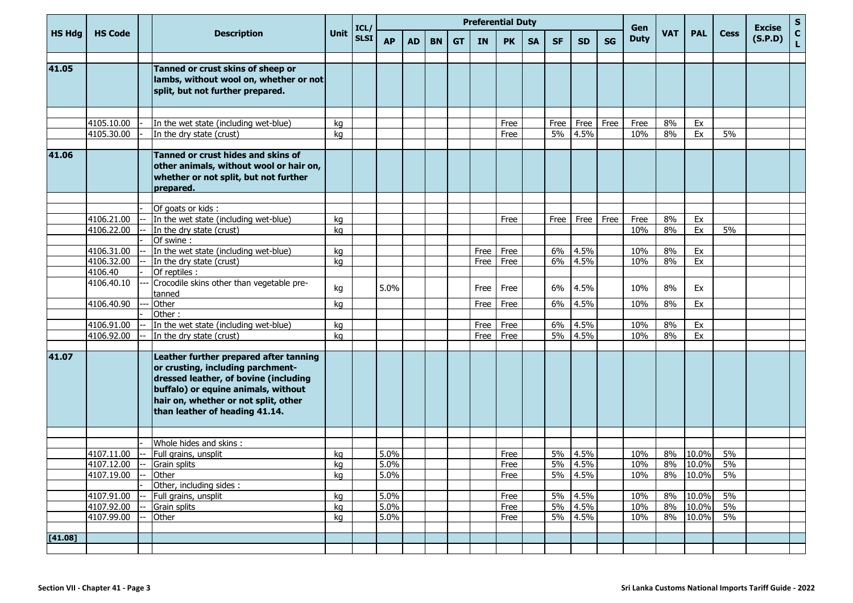|               |                          |                                                                                                                                                                                                                                       |             | ICL/        |              |           |           |           | <b>Preferential Duty</b> |              |           |           |              |           | Gen         |            |                |             | <b>Excise</b> | $\mathbf S$        |
|---------------|--------------------------|---------------------------------------------------------------------------------------------------------------------------------------------------------------------------------------------------------------------------------------|-------------|-------------|--------------|-----------|-----------|-----------|--------------------------|--------------|-----------|-----------|--------------|-----------|-------------|------------|----------------|-------------|---------------|--------------------|
| <b>HS Hdg</b> | <b>HS Code</b>           | <b>Description</b>                                                                                                                                                                                                                    | <b>Unit</b> | <b>SLSI</b> | <b>AP</b>    | <b>AD</b> | <b>BN</b> | <b>GT</b> | <b>IN</b>                | <b>PK</b>    | <b>SA</b> | <b>SF</b> | <b>SD</b>    | <b>SG</b> | <b>Duty</b> | <b>VAT</b> | <b>PAL</b>     | <b>Cess</b> | (S.P.D)       | $\mathbf{C}$<br>L. |
|               |                          |                                                                                                                                                                                                                                       |             |             |              |           |           |           |                          |              |           |           |              |           |             |            |                |             |               |                    |
| 41.05         |                          | Tanned or crust skins of sheep or<br>lambs, without wool on, whether or not<br>split, but not further prepared.                                                                                                                       |             |             |              |           |           |           |                          |              |           |           |              |           |             |            |                |             |               |                    |
|               |                          |                                                                                                                                                                                                                                       |             |             |              |           |           |           |                          |              |           |           |              |           |             |            |                |             |               |                    |
|               | 4105.10.00               | In the wet state (including wet-blue)                                                                                                                                                                                                 | kg          |             |              |           |           |           |                          | Free         |           | Free      | Free         | Free      | Free        | 8%         | Ex             |             |               |                    |
|               | 4105.30.00               | In the dry state (crust)                                                                                                                                                                                                              | kg          |             |              |           |           |           |                          | Free         |           | 5%        | 4.5%         |           | 10%         | 8%         | Ex             | 5%          |               |                    |
| 41.06         |                          | Tanned or crust hides and skins of<br>other animals, without wool or hair on,<br>whether or not split, but not further<br>prepared.                                                                                                   |             |             |              |           |           |           |                          |              |           |           |              |           |             |            |                |             |               |                    |
|               |                          |                                                                                                                                                                                                                                       |             |             |              |           |           |           |                          |              |           |           |              |           |             |            |                |             |               |                    |
|               |                          | Of goats or kids :                                                                                                                                                                                                                    |             |             |              |           |           |           |                          |              |           |           |              |           |             |            |                |             |               |                    |
|               | 4106.21.00               | In the wet state (including wet-blue)                                                                                                                                                                                                 | kg          |             |              |           |           |           |                          | Free         |           | Free      | Free         | Free      | Free        | 8%         | Ex             |             |               |                    |
|               | 4106.22.00               | In the dry state (crust)<br>Of swine:                                                                                                                                                                                                 | kg          |             |              |           |           |           |                          |              |           |           |              |           | 10%         | 8%         | Ex             | 5%          |               |                    |
|               | 4106.31.00               | In the wet state (including wet-blue)                                                                                                                                                                                                 | kg          |             |              |           |           |           | Free                     | Free         |           | 6%        | 4.5%         |           | 10%         | 8%         | Ex             |             |               |                    |
|               | 4106.32.00               | In the dry state (crust)                                                                                                                                                                                                              | kg          |             |              |           |           |           | Free                     | Free         |           | 6%        | 4.5%         |           | 10%         | 8%         | Ex             |             |               |                    |
|               | 4106.40                  | Of reptiles :                                                                                                                                                                                                                         |             |             |              |           |           |           |                          |              |           |           |              |           |             |            |                |             |               |                    |
|               | 4106.40.10               | Crocodile skins other than vegetable pre-<br>tanned                                                                                                                                                                                   | kg          |             | 5.0%         |           |           |           | Free                     | Free         |           | 6%        | 4.5%         |           | 10%         | 8%         | Ex             |             |               |                    |
|               | 4106.40.90               | Other                                                                                                                                                                                                                                 | kg          |             |              |           |           |           | Free                     | Free         |           | 6%        | 4.5%         |           | 10%         | 8%         | Ex             |             |               |                    |
|               |                          | Other:                                                                                                                                                                                                                                |             |             |              |           |           |           |                          |              |           |           |              |           |             |            |                |             |               |                    |
|               | 4106.91.00               | In the wet state (including wet-blue)                                                                                                                                                                                                 | kg          |             |              |           |           |           | Free                     | Free         |           | 6%        | 4.5%         |           | 10%         | 8%         | Ex             |             |               |                    |
|               | 4106.92.00               | In the dry state (crust)                                                                                                                                                                                                              | kg          |             |              |           |           |           | Free                     | Free         |           | 5%        | 4.5%         |           | 10%         | 8%         | Ex             |             |               |                    |
| 41.07         |                          | Leather further prepared after tanning<br>or crusting, including parchment-<br>dressed leather, of bovine (including<br>buffalo) or equine animals, without<br>hair on, whether or not split, other<br>than leather of heading 41.14. |             |             |              |           |           |           |                          |              |           |           |              |           |             |            |                |             |               |                    |
|               |                          |                                                                                                                                                                                                                                       |             |             |              |           |           |           |                          |              |           |           |              |           |             |            |                |             |               |                    |
|               |                          | Whole hides and skins:                                                                                                                                                                                                                |             |             |              |           |           |           |                          |              |           |           |              |           |             |            |                |             |               |                    |
|               | 4107.11.00<br>4107.12.00 | Full grains, unsplit<br>Grain splits                                                                                                                                                                                                  | kq<br>ka    |             | 5.0%<br>5.0% |           |           |           |                          | Free<br>Free |           | 5%<br>5%  | 4.5%<br>4.5% |           | 10%<br>10%  | 8%<br>8%   | 10.0%<br>10.0% | 5%<br>5%    |               |                    |
|               | 4107.19.00               | Other                                                                                                                                                                                                                                 | kg          |             | 5.0%         |           |           |           |                          | Free         |           |           | 5% 4.5%      |           | 10%         |            | 8% 10.0%       | 5%          |               |                    |
|               |                          | Other, including sides :                                                                                                                                                                                                              |             |             |              |           |           |           |                          |              |           |           |              |           |             |            |                |             |               |                    |
|               | 4107.91.00               | Full grains, unsplit                                                                                                                                                                                                                  | kg          |             | 5.0%         |           |           |           |                          | Free         |           | 5%        | 4.5%         |           | 10%         | 8%         | 10.0%          | 5%          |               |                    |
|               | 4107.92.00               | Grain splits                                                                                                                                                                                                                          | kg          |             | 5.0%         |           |           |           |                          | Free         |           | 5%        | 4.5%         |           | 10%         | 8%         | 10.0%          | 5%          |               |                    |
|               | 4107.99.00               | Other                                                                                                                                                                                                                                 | kg          |             | 5.0%         |           |           |           |                          | Free         |           | 5%        | 4.5%         |           | 10%         | 8%         | 10.0%          | 5%          |               |                    |
|               |                          |                                                                                                                                                                                                                                       |             |             |              |           |           |           |                          |              |           |           |              |           |             |            |                |             |               |                    |
| [41.08]       |                          |                                                                                                                                                                                                                                       |             |             |              |           |           |           |                          |              |           |           |              |           |             |            |                |             |               |                    |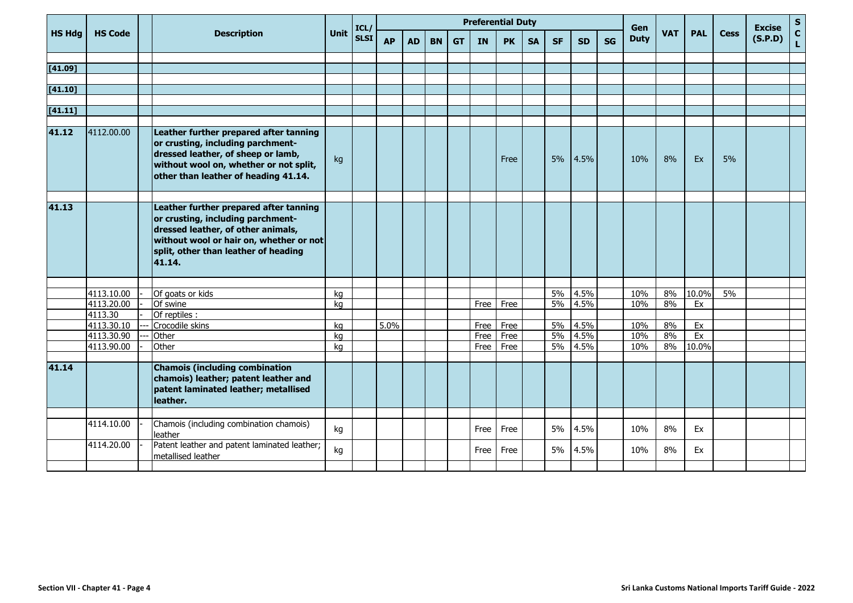|               |                |                                                                                                                                                                                                                |             | ICL/        | <b>Preferential Duty</b> |           |           |           |           |           |           |           |           |           | Gen         |            |            |             | <b>Excise</b> | ${\sf s}$          |
|---------------|----------------|----------------------------------------------------------------------------------------------------------------------------------------------------------------------------------------------------------------|-------------|-------------|--------------------------|-----------|-----------|-----------|-----------|-----------|-----------|-----------|-----------|-----------|-------------|------------|------------|-------------|---------------|--------------------|
| <b>HS Hdg</b> | <b>HS Code</b> | <b>Description</b>                                                                                                                                                                                             | <b>Unit</b> | <b>SLSI</b> | <b>AP</b>                | <b>AD</b> | <b>BN</b> | <b>GT</b> | <b>IN</b> | <b>PK</b> | <b>SA</b> | <b>SF</b> | <b>SD</b> | <b>SG</b> | <b>Duty</b> | <b>VAT</b> | <b>PAL</b> | <b>Cess</b> | (S.P.D)       | $\mathbf{C}$<br>L. |
|               |                |                                                                                                                                                                                                                |             |             |                          |           |           |           |           |           |           |           |           |           |             |            |            |             |               |                    |
| [41.09]       |                |                                                                                                                                                                                                                |             |             |                          |           |           |           |           |           |           |           |           |           |             |            |            |             |               |                    |
|               |                |                                                                                                                                                                                                                |             |             |                          |           |           |           |           |           |           |           |           |           |             |            |            |             |               |                    |
| [41.10]       |                |                                                                                                                                                                                                                |             |             |                          |           |           |           |           |           |           |           |           |           |             |            |            |             |               |                    |
|               |                |                                                                                                                                                                                                                |             |             |                          |           |           |           |           |           |           |           |           |           |             |            |            |             |               |                    |
| [41.11]       |                |                                                                                                                                                                                                                |             |             |                          |           |           |           |           |           |           |           |           |           |             |            |            |             |               |                    |
| 41.12         | 4112.00.00     | Leather further prepared after tanning<br>or crusting, including parchment-<br>dressed leather, of sheep or lamb,<br>without wool on, whether or not split,<br>other than leather of heading 41.14.            | kg          |             |                          |           |           |           |           | Free      |           | 5%        | 4.5%      |           | 10%         | 8%         | Ex         | 5%          |               |                    |
|               |                |                                                                                                                                                                                                                |             |             |                          |           |           |           |           |           |           |           |           |           |             |            |            |             |               |                    |
| 41.13         |                | Leather further prepared after tanning<br>or crusting, including parchment-<br>dressed leather, of other animals,<br>without wool or hair on, whether or not<br>split, other than leather of heading<br>41.14. |             |             |                          |           |           |           |           |           |           |           |           |           |             |            |            |             |               |                    |
|               |                |                                                                                                                                                                                                                |             |             |                          |           |           |           |           |           |           |           |           |           |             |            |            |             |               |                    |
|               | 4113.10.00     | Of goats or kids                                                                                                                                                                                               | kg          |             |                          |           |           |           |           |           |           | 5%        | 4.5%      |           | 10%         | 8%         | 10.0%      | 5%          |               |                    |
|               | 4113.20.00     | Of swine                                                                                                                                                                                                       | kg          |             |                          |           |           |           | Free      | Free      |           | 5%        | 4.5%      |           | 10%         | 8%         | Ex         |             |               |                    |
|               | 4113.30        | Of reptiles :                                                                                                                                                                                                  |             |             |                          |           |           |           |           |           |           |           |           |           |             |            |            |             |               |                    |
|               | 4113.30.10     | Crocodile skins                                                                                                                                                                                                | kg          |             | 5.0%                     |           |           |           | Free      | Free      |           | 5%        | 4.5%      |           | 10%         | 8%         | Ex         |             |               |                    |
|               | 4113.30.90     | Other                                                                                                                                                                                                          | kg          |             |                          |           |           |           | Free      | Free      |           | 5%        | 4.5%      |           | 10%         | 8%         | Ex         |             |               |                    |
|               | 4113.90.00     | Other                                                                                                                                                                                                          | kg          |             |                          |           |           |           | Free      | Free      |           | 5%        | 4.5%      |           | 10%         | 8%         | 10.0%      |             |               |                    |
| 41.14         |                | <b>Chamois (including combination</b><br>chamois) leather; patent leather and<br>patent laminated leather; metallised<br>leather.                                                                              |             |             |                          |           |           |           |           |           |           |           |           |           |             |            |            |             |               |                    |
|               |                |                                                                                                                                                                                                                |             |             |                          |           |           |           |           |           |           |           |           |           |             |            |            |             |               |                    |
|               | 4114.10.00     | Chamois (including combination chamois)<br>leather                                                                                                                                                             | kg          |             |                          |           |           |           | Free      | Free      |           | 5%        | 4.5%      |           | 10%         | 8%         | Ex         |             |               |                    |
|               | 4114.20.00     | Patent leather and patent laminated leather;<br>metallised leather                                                                                                                                             | kg          |             |                          |           |           |           | Free      | Free      |           | 5%        | 4.5%      |           | 10%         | 8%         | Ex         |             |               |                    |
|               |                |                                                                                                                                                                                                                |             |             |                          |           |           |           |           |           |           |           |           |           |             |            |            |             |               |                    |